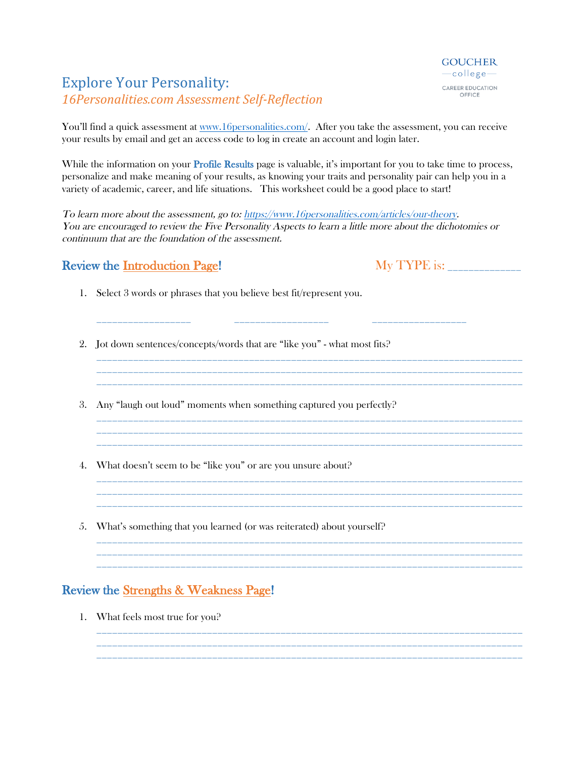## **Explore Your Personality:** *16Personalities.com Assessment Self-Reflection*

You'll find a quick assessment at www.16personalities.com/. After you take the assessment, you can receive your results by email and get an access code to log in create an account and login later.

While the information on your **Profile Results** page is valuable, it's important for you to take time to process, personalize and make meaning of your results, as knowing your traits and personality pair can help you in a variety of academic, career, and life situations. This worksheet could be a good place to start!

To learn more about the assessment, go to: https://www.16personalities.com/articles/our-theory. You are encouraged to review the Five Personality Aspects to learn a little more about the dichotomies or continuum that are the foundation of the assessment.

\_\_\_\_\_\_\_\_\_\_\_\_\_\_\_\_\_\_ \_\_\_\_\_\_\_\_\_\_\_\_\_\_\_\_\_\_ \_\_\_\_\_\_\_\_\_\_\_\_\_\_\_\_\_\_

\_\_\_\_\_\_\_\_\_\_\_\_\_\_\_\_\_\_\_\_\_\_\_\_\_\_\_\_\_\_\_\_\_\_\_\_\_\_\_\_\_\_\_\_\_\_\_\_\_\_\_\_\_\_\_\_\_\_\_\_\_\_\_\_\_\_\_\_\_\_\_\_\_\_\_\_\_\_\_\_\_

\_\_\_\_\_\_\_\_\_\_\_\_\_\_\_\_\_\_\_\_\_\_\_\_\_\_\_\_\_\_\_\_\_\_\_\_\_\_\_\_\_\_\_\_\_\_\_\_\_\_\_\_\_\_\_\_\_\_\_\_\_\_\_\_\_\_\_\_\_\_\_\_\_\_\_\_\_\_\_\_\_

\_\_\_\_\_\_\_\_\_\_\_\_\_\_\_\_\_\_\_\_\_\_\_\_\_\_\_\_\_\_\_\_\_\_\_\_\_\_\_\_\_\_\_\_\_\_\_\_\_\_\_\_\_\_\_\_\_\_\_\_\_\_\_\_\_\_\_\_\_\_\_\_\_\_\_\_\_\_\_\_\_ \_\_\_\_\_\_\_\_\_\_\_\_\_\_\_\_\_\_\_\_\_\_\_\_\_\_\_\_\_\_\_\_\_\_\_\_\_\_\_\_\_\_\_\_\_\_\_\_\_\_\_\_\_\_\_\_\_\_\_\_\_\_\_\_\_\_\_\_\_\_\_\_\_\_\_\_\_\_\_\_\_

\_\_\_\_\_\_\_\_\_\_\_\_\_\_\_\_\_\_\_\_\_\_\_\_\_\_\_\_\_\_\_\_\_\_\_\_\_\_\_\_\_\_\_\_\_\_\_\_\_\_\_\_\_\_\_\_\_\_\_\_\_\_\_\_\_\_\_\_\_\_\_\_\_\_\_\_\_\_\_\_\_

\_\_\_\_\_\_\_\_\_\_\_\_\_\_\_\_\_\_\_\_\_\_\_\_\_\_\_\_\_\_\_\_\_\_\_\_\_\_\_\_\_\_\_\_\_\_\_\_\_\_\_\_\_\_\_\_\_\_\_\_\_\_\_\_\_\_\_\_\_\_\_\_\_\_\_\_\_\_\_\_\_

## Review the Introduction Page! My TYPE is: \_\_\_\_\_\_\_\_\_\_\_\_\_\_

- 1. Select 3 words or phrases that you believe best fit/represent you.
- 2. Jot down sentences/concepts/words that are "like you" what most fits?
- 3. Any "laugh out loud" moments when something captured you perfectly?
- 4. What doesn't seem to be "like you" or are you unsure about?
- 5. What's something that you learned (or was reiterated) about yourself?

## Review the Strengths & Weakness Page!

1. What feels most true for you?



\_\_\_\_\_\_\_\_\_\_\_\_\_\_\_\_\_\_\_\_\_\_\_\_\_\_\_\_\_\_\_\_\_\_\_\_\_\_\_\_\_\_\_\_\_\_\_\_\_\_\_\_\_\_\_\_\_\_\_\_\_\_\_\_\_\_\_\_\_\_\_\_\_\_\_\_\_\_\_\_\_ \_\_\_\_\_\_\_\_\_\_\_\_\_\_\_\_\_\_\_\_\_\_\_\_\_\_\_\_\_\_\_\_\_\_\_\_\_\_\_\_\_\_\_\_\_\_\_\_\_\_\_\_\_\_\_\_\_\_\_\_\_\_\_\_\_\_\_\_\_\_\_\_\_\_\_\_\_\_\_\_\_

\_\_\_\_\_\_\_\_\_\_\_\_\_\_\_\_\_\_\_\_\_\_\_\_\_\_\_\_\_\_\_\_\_\_\_\_\_\_\_\_\_\_\_\_\_\_\_\_\_\_\_\_\_\_\_\_\_\_\_\_\_\_\_\_\_\_\_\_\_\_\_\_\_\_\_\_\_\_\_\_\_

\_\_\_\_\_\_\_\_\_\_\_\_\_\_\_\_\_\_\_\_\_\_\_\_\_\_\_\_\_\_\_\_\_\_\_\_\_\_\_\_\_\_\_\_\_\_\_\_\_\_\_\_\_\_\_\_\_\_\_\_\_\_\_\_\_\_\_\_\_\_\_\_\_\_\_\_\_\_\_\_\_